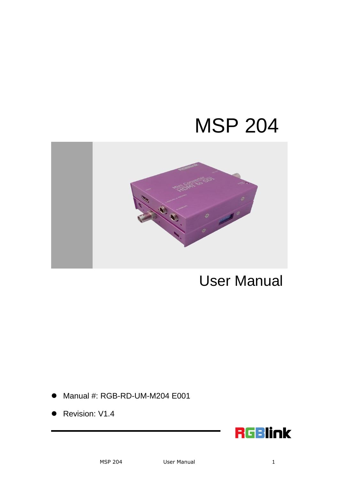# MSP 204



User Manual

- Manual #: RGB-RD-UM-M204 E001
- Revision: V1.4

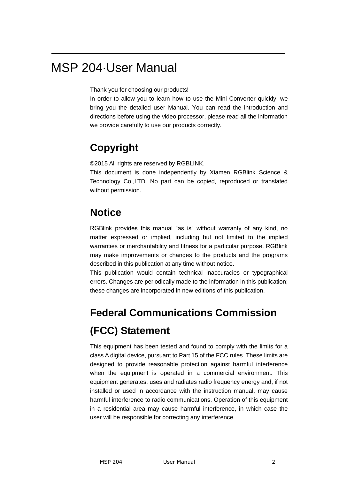## MSP 204·User Manual

Thank you for choosing our products!

In order to allow you to learn how to use the Mini Converter quickly, we bring you the detailed user Manual. You can read the introduction and directions before using the video processor, please read all the information we provide carefully to use our products correctly.

### **Copyright**

©2015 All rights are reserved by RGBLINK.

This document is done independently by Xiamen RGBlink Science & Technology Co.,LTD. No part can be copied, reproduced or translated without permission.

#### **Notice**

RGBlink provides this manual "as is" without warranty of any kind, no matter expressed or implied, including but not limited to the implied warranties or merchantability and fitness for a particular purpose. RGBlink may make improvements or changes to the products and the programs described in this publication at any time without notice.

This publication would contain technical inaccuracies or typographical errors. Changes are periodically made to the information in this publication; these changes are incorporated in new editions of this publication.

## **Federal Communications Commission (FCC) Statement**

This equipment has been tested and found to comply with the limits for a class A digital device, pursuant to Part 15 of the FCC rules. These limits are designed to provide reasonable protection against harmful interference when the equipment is operated in a commercial environment. This equipment generates, uses and radiates radio frequency energy and, if not installed or used in accordance with the instruction manual, may cause harmful interference to radio communications. Operation of this equipment in a residential area may cause harmful interference, in which case the user will be responsible for correcting any interference.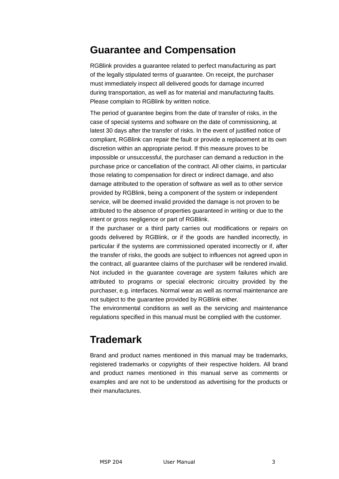#### **Guarantee and Compensation**

RGBlink provides a guarantee related to perfect manufacturing as part of the legally stipulated terms of guarantee. On receipt, the purchaser must immediately inspect all delivered goods for damage incurred during transportation, as well as for material and manufacturing faults. Please complain to RGBlink by written notice.

The period of guarantee begins from the date of transfer of risks, in the case of special systems and software on the date of commissioning, at latest 30 days after the transfer of risks. In the event of justified notice of compliant, RGBlink can repair the fault or provide a replacement at its own discretion within an appropriate period. If this measure proves to be impossible or unsuccessful, the purchaser can demand a reduction in the purchase price or cancellation of the contract. All other claims, in particular those relating to compensation for direct or indirect damage, and also damage attributed to the operation of software as well as to other service provided by RGBlink, being a component of the system or independent service, will be deemed invalid provided the damage is not proven to be attributed to the absence of properties guaranteed in writing or due to the intent or gross negligence or part of RGBlink.

If the purchaser or a third party carries out modifications or repairs on goods delivered by RGBlink, or if the goods are handled incorrectly, in particular if the systems are commissioned operated incorrectly or if, after the transfer of risks, the goods are subject to influences not agreed upon in the contract, all guarantee claims of the purchaser will be rendered invalid. Not included in the guarantee coverage are system failures which are attributed to programs or special electronic circuitry provided by the purchaser, e.g. interfaces. Normal wear as well as normal maintenance are not subject to the guarantee provided by RGBlink either.

The environmental conditions as well as the servicing and maintenance regulations specified in this manual must be complied with the customer.

#### **Trademark**

Brand and product names mentioned in this manual may be trademarks, registered trademarks or copyrights of their respective holders. All brand and product names mentioned in this manual serve as comments or examples and are not to be understood as advertising for the products or their manufactures.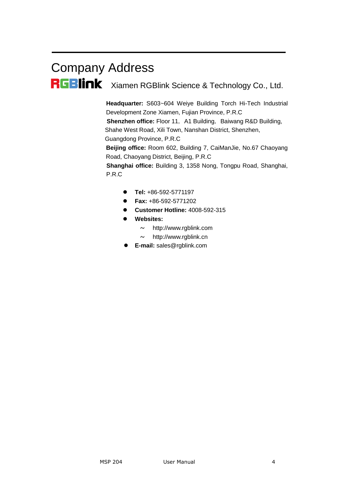# Company Address

RGBINK Xiamen RGBlink Science & Technology Co., Ltd.

**Headquarter:** S603~604 Weiye Building Torch Hi-Tech Industrial Development Zone Xiamen, Fujian Province, P.R.C

**Shenzhen office:** Floor 11, A1 Building, Baiwang R&D Building, Shahe West Road, Xili Town, Nanshan District, Shenzhen,

Guangdong Province, P.R.C

**Beijing office:** Room 602, Building 7, CaiManJie, No.67 Chaoyang Road, Chaoyang District, Beijing, P.R.C

**Shanghai office:** Building 3, 1358 Nong, Tongpu Road, Shanghai, P.R.C

- **Tel:** +86-592-5771197
- **Fax:** +86-592-5771202
- **Customer Hotline:** 4008-592-315
- **Websites:** 
	- $\sim$  http://www.rablink.com
	- $\sim$  http://www.rgblink.cn
- **E-mail:** [sales@rgblink.com](mailto:rgblinkcs@gmail.com)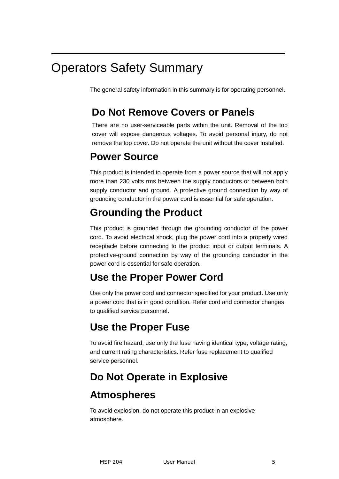## Operators Safety Summary

The general safety information in this summary is for operating personnel.

### **Do Not Remove Covers or Panels**

There are no user-serviceable parts within the unit. Removal of the top cover will expose dangerous voltages. To avoid personal injury, do not remove the top cover. Do not operate the unit without the cover installed.

#### **Power Source**

This product is intended to operate from a power source that will not apply more than 230 volts rms between the supply conductors or between both supply conductor and ground. A protective ground connection by way of grounding conductor in the power cord is essential for safe operation.

## **Grounding the Product**

This product is grounded through the grounding conductor of the power cord. To avoid electrical shock, plug the power cord into a properly wired receptacle before connecting to the product input or output terminals. A protective-ground connection by way of the grounding conductor in the power cord is essential for safe operation.

### **Use the Proper Power Cord**

Use only the power cord and connector specified for your product. Use only a power cord that is in good condition. Refer cord and connector changes to qualified service personnel.

### **Use the Proper Fuse**

To avoid fire hazard, use only the fuse having identical type, voltage rating, and current rating characteristics. Refer fuse replacement to qualified service personnel.

### **Do Not Operate in Explosive**

### **Atmospheres**

To avoid explosion, do not operate this product in an explosive atmosphere.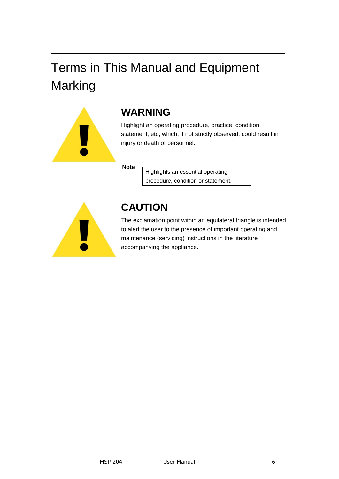## Terms in This Manual and Equipment Marking



### **WARNING**

Highlight an operating procedure, practice, condition, statement, etc, which, if not strictly observed, could result in injury or death of personnel.

**Note**

Highlights an essential operating procedure, condition or statement.



### **CAUTION**

The exclamation point within an equilateral triangle is intended to alert the user to the presence of important operating and maintenance (servicing) instructions in the literature accompanying the appliance.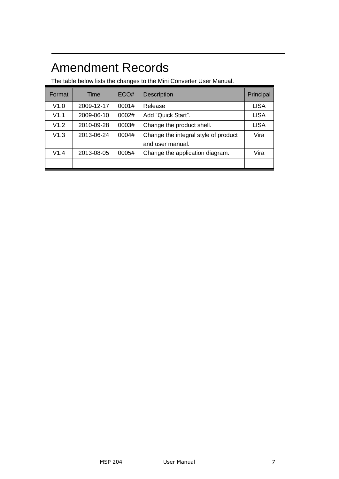## Amendment Records

The table below lists the changes to the Mini Converter User Manual.

| Format | Time       | ECO#  | <b>Description</b>                                       | Principal   |
|--------|------------|-------|----------------------------------------------------------|-------------|
| V1.0   | 2009-12-17 | 0001# | Release                                                  | <b>LISA</b> |
| V1.1   | 2009-06-10 | 0002# | Add "Quick Start".                                       | <b>LISA</b> |
| V1.2   | 2010-09-28 | 0003# | Change the product shell.                                | <b>LISA</b> |
| V1.3   | 2013-06-24 | 0004# | Change the integral style of product<br>and user manual. | Vira        |
| V1.4   | 2013-08-05 | 0005# | Change the application diagram.                          | Vira        |
|        |            |       |                                                          |             |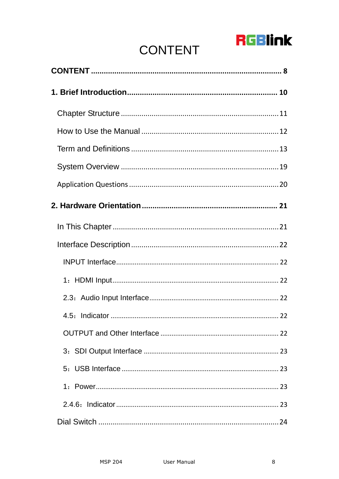## **RGBlink**

## **CONTENT**

<span id="page-7-0"></span>

| 1. Power…………………………………………………………………………………… 23 |
|---------------------------------------------|
|                                             |
|                                             |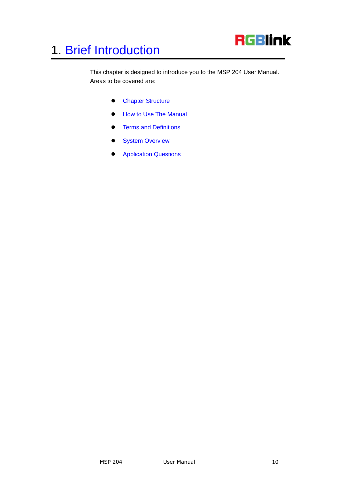

<span id="page-9-2"></span><span id="page-9-1"></span><span id="page-9-0"></span>This chapter is designed to introduce you to the MSP 204 User Manual. Areas to be covered are:

- **•** [Chapter Structure](#page-10-0)
- [How to Use The Manual](#page-11-0)
- <span id="page-9-3"></span>**•** [Terms and Definitions](#page-12-0)
- <span id="page-9-4"></span>**•** [System Overview](#page-18-0)
- <span id="page-9-5"></span>**•** [Application Questions](#page-19-0)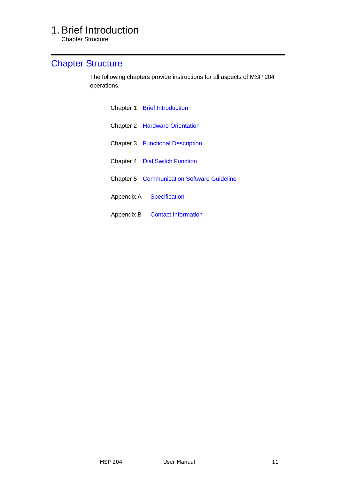Chapter Structure

### <span id="page-10-2"></span><span id="page-10-1"></span><span id="page-10-0"></span>[Chapter Structure](#page-9-1)

The following chapters provide instructions for all aspects of MSP 204 operations.

<span id="page-10-7"></span><span id="page-10-6"></span><span id="page-10-5"></span><span id="page-10-4"></span><span id="page-10-3"></span>

| Chapter 1 Brief Introduction                      |
|---------------------------------------------------|
| <b>Chapter 2 Hardware Orientation</b>             |
| <b>Chapter 3</b> Functional Description           |
| <b>Chapter 4 Dial Switch Function</b>             |
| <b>Chapter 5 Communication Software Guideline</b> |
| Appendix A Specification                          |
| Appendix B Contact Information                    |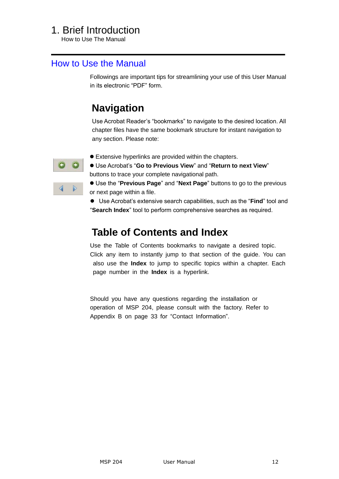How to Use The Manual

#### <span id="page-11-0"></span>[How to Use the Manual](#page-9-2)

Followings are important tips for streamlining your use of this User Manual in its electronic "PDF" form.

### **Navigation**

Use Acrobat Reader's "bookmarks" to navigate to the desired location. All chapter files have the same bookmark structure for instant navigation to any section. Please note:



- Extensive hyperlinks are provided within the chapters.
- $\bullet$  Use Acrobat's "Go to Previous View" and "Return to next View" buttons to trace your complete navigational path.

● Use the "Previous Page" and "Next Page" buttons to go to the previous or next page within a file.

● Use Acrobat's extensive search capabilities, such as the "**Find**" tool and ―**Search Index**‖ tool to perform comprehensive searches as required.

### **Table of Contents and Index**

Use the Table of Contents bookmarks to navigate a desired topic. Click any item to instantly jump to that section of the guide. You can also use the **Index** to jump to specific topics within a chapter. Each page number in the **Index** is a hyperlink.

Should you have any questions regarding the installation or operation of MSP 204, please consult with the factory. Refer to Appendix B on page 33 for "Contact Information".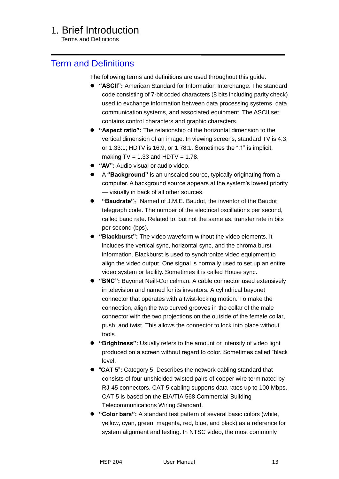Terms and Definitions

#### <span id="page-12-0"></span>[Term and Definitions](#page-9-3)

The following terms and definitions are used throughout this guide.

- **"ASCII":** American Standard for Information Interchange. The standard code consisting of 7-bit coded characters (8 bits including parity check) used to exchange information between data processing systems, data communication systems, and associated equipment. The ASCII set contains control characters and graphic characters.
- **"Aspect ratio":** The relationship of the horizontal dimension to the vertical dimension of an image. In viewing screens, standard TV is 4:3, or  $1.33:1$ ; HDTV is  $16:9$ , or  $1.78:1$ . Sometimes the ":1" is implicit, making  $TV = 1.33$  and  $HDTV = 1.78$ .
- **"AV":** Audio visual or audio video.
- A **"Background"** is an unscaled source, typically originating from a computer. A background source appears at the system's lowest priority — visually in back of all other sources.
- **"Baudrate":** Named of J.M.E. Baudot, the inventor of the Baudot telegraph code. The number of the electrical oscillations per second, called baud rate. Related to, but not the same as, transfer rate in bits per second (bps).
- **"Blackburst":** The video waveform without the video elements. It includes the vertical sync, horizontal sync, and the chroma burst information. Blackburst is used to synchronize video equipment to align the video output. One signal is normally used to set up an entire video system or facility. Sometimes it is called House sync.
- **"BNC":** Bayonet Neill-Concelman. A cable connector used extensively in television and named for its inventors. A cylindrical bayonet connector that operates with a twist-locking motion. To make the connection, align the two curved grooves in the collar of the male connector with the two projections on the outside of the female collar, push, and twist. This allows the connector to lock into place without tools.
- **"Brightness":** Usually refers to the amount or intensity of video light produced on a screen without regard to color. Sometimes called "black" level.
- ―**CAT 5**‖**:** Category 5. Describes the network cabling standard that consists of four unshielded twisted pairs of copper wire terminated by RJ-45 connectors. CAT 5 cabling supports data rates up to 100 Mbps. CAT 5 is based on the EIA/TIA 568 Commercial Building Telecommunications Wiring Standard.
- **"Color bars":** A standard test pattern of several basic colors (white, yellow, cyan, green, magenta, red, blue, and black) as a reference for system alignment and testing. In NTSC video, the most commonly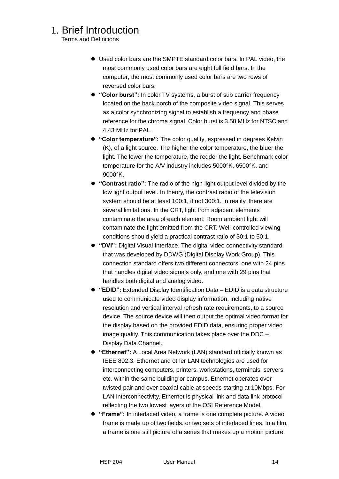Terms and Definitions

- Used color bars are the SMPTE standard color bars. In PAL video, the most commonly used color bars are eight full field bars. In the computer, the most commonly used color bars are two rows of reversed color bars.
- **"Color burst":** In color TV systems, a burst of sub carrier frequency located on the back porch of the composite video signal. This serves as a color synchronizing signal to establish a frequency and phase reference for the chroma signal. Color burst is 3.58 MHz for NTSC and 4.43 MHz for PAL.
- **"Color temperature":** The color quality, expressed in degrees Kelvin (K), of a light source. The higher the color temperature, the bluer the light. The lower the temperature, the redder the light. Benchmark color temperature for the A/V industry includes 5000°K, 6500°K, and 9000°K.
- **"Contrast ratio":** The radio of the high light output level divided by the low light output level. In theory, the contrast radio of the television system should be at least 100:1, if not 300:1. In reality, there are several limitations. In the CRT, light from adjacent elements contaminate the area of each element. Room ambient light will contaminate the light emitted from the CRT. Well-controlled viewing conditions should yield a practical contrast ratio of 30:1 to 50:1.
- **"DVI":** Digital Visual Interface. The digital video connectivity standard that was developed by DDWG (Digital Display Work Group). This connection standard offers two different connectors: one with 24 pins that handles digital video signals only, and one with 29 pins that handles both digital and analog video.
- **"EDID":** Extended Display Identification Data EDID is a data structure used to communicate video display information, including native resolution and vertical interval refresh rate requirements, to a source device. The source device will then output the optimal video format for the display based on the provided EDID data, ensuring proper video image quality. This communication takes place over the DDC – Display Data Channel.
- **"Ethernet":** A Local Area Network (LAN) standard officially known as IEEE 802.3. Ethernet and other LAN technologies are used for interconnecting computers, printers, workstations, terminals, servers, etc. within the same building or campus. Ethernet operates over twisted pair and over coaxial cable at speeds starting at 10Mbps. For LAN interconnectivity, Ethernet is physical link and data link protocol reflecting the two lowest layers of the OSI Reference Model.
- **"Frame":** In interlaced video, a frame is one complete picture. A video frame is made up of two fields, or two sets of interlaced lines. In a film, a frame is one still picture of a series that makes up a motion picture.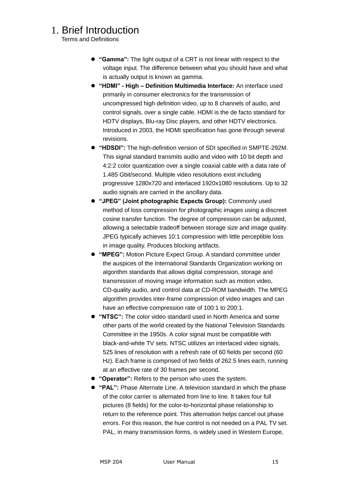Terms and Definitions

- **"Gamma":** The light output of a CRT is not linear with respect to the voltage input. The difference between what you should have and what is actually output is known as gamma.
- **"HDMI" - High – Definition Multimedia Interface:** An interface used primarily in consumer electronics for the transmission of uncompressed high definition video, up to 8 channels of audio, and control signals, over a single cable. HDMI is the de facto standard for HDTV displays, Blu-ray Disc players, and other HDTV electronics. Introduced in 2003, the HDMI specification has gone through several revisions.
- **"HDSDI":** The high-definition version of SDI specified in SMPTE-292M. This signal standard transmits audio and video with 10 bit depth and 4:2:2 color quantization over a single coaxial cable with a data rate of 1.485 Gbit/second. Multiple video resolutions exist including progressive 1280x720 and interlaced 1920x1080 resolutions. Up to 32 audio signals are carried in the ancillary data.
- **"JPEG" (Joint photographic Expects Group):** Commonly used method of loss compression for photographic images using a discreet cosine transfer function. The degree of compression can be adjusted, allowing a selectable tradeoff between storage size and image quality. JPEG typically achieves 10:1 compression with little perceptible loss in image quality. Produces blocking artifacts.
- **"MPEG":** Motion Picture Expect Group. A standard committee under the auspices of the International Standards Organization working on algorithm standards that allows digital compression, storage and transmission of moving image information such as motion video, CD-quality audio, and control data at CD-ROM bandwidth. The MPEG algorithm provides inter-frame compression of video images and can have an effective compression rate of 100:1 to 200:1.
- **"NTSC":** The color video standard used in North America and some other parts of the world created by the National Television Standards Committee in the 1950s. A color signal must be compatible with black-and-white TV sets. NTSC utilizes an interlaced video signals, 525 lines of resolution with a refresh rate of 60 fields per second (60 Hz). Each frame is comprised of two fields of 262.5 lines each, running at an effective rate of 30 frames per second.
- **"Operator":** Refers to the person who uses the system.
- **"PAL":** Phase Alternate Line. A television standard in which the phase of the color carrier is alternated from line to line. It takes four full pictures (8 fields) for the color-to-horizontal phase relationship to return to the reference point. This alternation helps cancel out phase errors. For this reason, the hue control is not needed on a PAL TV set. PAL, in many transmission forms, is widely used in Western Europe,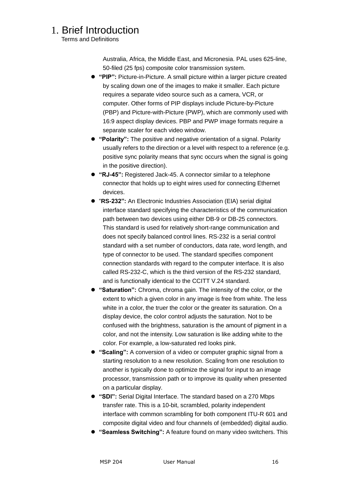Terms and Definitions

Australia, Africa, the Middle East, and Micronesia. PAL uses 625-line, 50-filed (25 fps) composite color transmission system.

- **"PIP":** Picture-in-Picture. A small picture within a larger picture created by scaling down one of the images to make it smaller. Each picture requires a separate video source such as a camera, VCR, or computer. Other forms of PIP displays include Picture-by-Picture (PBP) and Picture-with-Picture (PWP), which are commonly used with 16:9 aspect display devices. PBP and PWP image formats require a separate scaler for each video window.
- **"Polarity":** The positive and negative orientation of a signal. Polarity usually refers to the direction or a level with respect to a reference (e.g. positive sync polarity means that sync occurs when the signal is going in the positive direction).
- **"RJ-45":** Registered Jack-45. A connector similar to a telephone connector that holds up to eight wires used for connecting Ethernet devices.
- "RS-232": An Electronic Industries Association (EIA) serial digital interface standard specifying the characteristics of the communication path between two devices using either DB-9 or DB-25 connectors. This standard is used for relatively short-range communication and does not specify balanced control lines. RS-232 is a serial control standard with a set number of conductors, data rate, word length, and type of connector to be used. The standard specifies component connection standards with regard to the computer interface. It is also called RS-232-C, which is the third version of the RS-232 standard, and is functionally identical to the CCITT V.24 standard.
- **"Saturation":** Chroma, chroma gain. The intensity of the color, or the extent to which a given color in any image is free from white. The less white in a color, the truer the color or the greater its saturation. On a display device, the color control adjusts the saturation. Not to be confused with the brightness, saturation is the amount of pigment in a color, and not the intensity. Low saturation is like adding white to the color. For example, a low-saturated red looks pink.
- **"Scaling":** A conversion of a video or computer graphic signal from a starting resolution to a new resolution. Scaling from one resolution to another is typically done to optimize the signal for input to an image processor, transmission path or to improve its quality when presented on a particular display.
- **"SDI":** Serial Digital Interface. The standard based on a 270 Mbps transfer rate. This is a 10-bit, scrambled, polarity independent interface with common scrambling for both component ITU-R 601 and composite digital video and four channels of (embedded) digital audio.
- **"Seamless Switching":** A feature found on many video switchers. This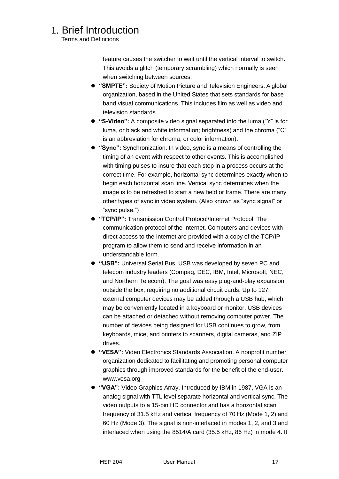Terms and Definitions

feature causes the switcher to wait until the vertical interval to switch. This avoids a glitch (temporary scrambling) which normally is seen when switching between sources.

- **"SMPTE":** Society of Motion Picture and Television Engineers. A global organization, based in the United States that sets standards for base band visual communications. This includes film as well as video and television standards.
- "S-Video": A composite video signal separated into the luma ("Y" is for luma, or black and white information; brightness) and the chroma ("C" is an abbreviation for chroma, or color information).
- **"Sync":** Synchronization. In video, sync is a means of controlling the timing of an event with respect to other events. This is accomplished with timing pulses to insure that each step in a process occurs at the correct time. For example, horizontal sync determines exactly when to begin each horizontal scan line. Vertical sync determines when the image is to be refreshed to start a new field or frame. There are many other types of sync in video system. (Also known as "sync signal" or ―sync pulse.‖)
- **"TCP/IP":** Transmission Control Protocol/Internet Protocol. The communication protocol of the Internet. Computers and devices with direct access to the Internet are provided with a copy of the TCP/IP program to allow them to send and receive information in an understandable form.
- **"USB":** Universal Serial Bus. USB was developed by seven PC and telecom industry leaders (Compaq, DEC, IBM, Intel, Microsoft, NEC, and Northern Telecom). The goal was easy plug-and-play expansion outside the box, requiring no additional circuit cards. Up to 127 external computer devices may be added through a USB hub, which may be conveniently located in a keyboard or monitor. USB devices can be attached or detached without removing computer power. The number of devices being designed for USB continues to grow, from keyboards, mice, and printers to scanners, digital cameras, and ZIP drives.
- **"VESA":** Video Electronics Standards Association. A nonprofit number organization dedicated to facilitating and promoting personal computer graphics through improved standards for the benefit of the end-user. www.vesa.org
- **"VGA":** Video Graphics Array. Introduced by IBM in 1987, VGA is an analog signal with TTL level separate horizontal and vertical sync. The video outputs to a 15-pin HD connector and has a horizontal scan frequency of 31.5 kHz and vertical frequency of 70 Hz (Mode 1, 2) and 60 Hz (Mode 3). The signal is non-interlaced in modes 1, 2, and 3 and interlaced when using the 8514/A card (35.5 kHz, 86 Hz) in mode 4. It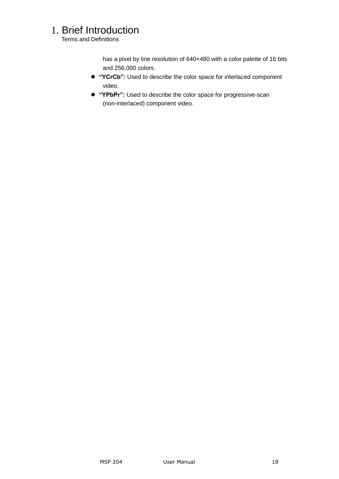Terms and Definitions

has a pixel by line resolution of 640×480 with a color palette of 16 bits and 256,000 colors.

- **"YCrCb":** Used to describe the color space for interlaced component video.
- **"YPbPr":** Used to describe the color space for progressive-scan (non-interlaced) component video.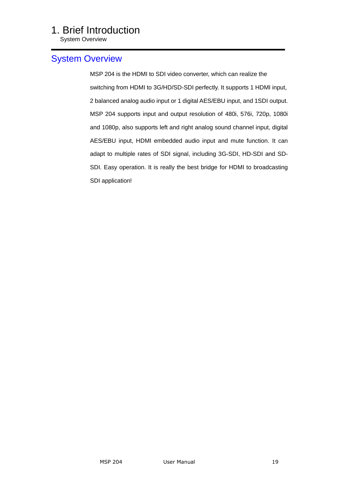System Overview

#### <span id="page-18-0"></span>[System Overview](#page-9-4)

MSP 204 is the HDMI to SDI video converter, which can realize the switching from HDMI to 3G/HD/SD-SDI perfectly. It supports 1 HDMI input, 2 balanced analog audio input or 1 digital AES/EBU input, and 1SDI output. MSP 204 supports input and output resolution of 480i, 576i, 720p, 1080i and 1080p, also supports left and right analog sound channel input, digital AES/EBU input, HDMI embedded audio input and mute function. It can adapt to multiple rates of SDI signal, including 3G-SDI, HD-SDI and SD-SDI. Easy operation. It is really the best bridge for HDMI to broadcasting SDI application!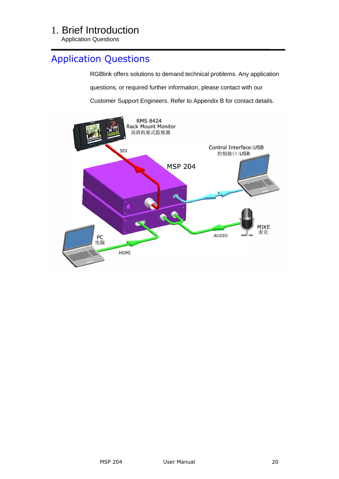Application Questions

#### <span id="page-19-0"></span>[Application Questions](#page-9-5)

RGBlink offers solutions to demand technical problems. Any application questions, or required further information, please contact with our Customer Support Engineers. Refer to Appendix B for contact details.

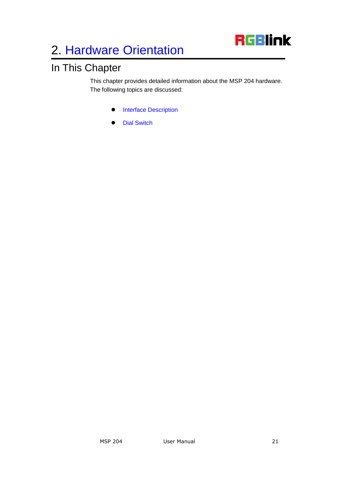

### <span id="page-20-2"></span><span id="page-20-1"></span><span id="page-20-0"></span>In This Chapter

<span id="page-20-3"></span>This chapter provides detailed information about the MSP 204 hardware. The following topics are discussed:

- **•** [Interface Description](#page-21-6)
- [Dial Switch](#page-23-2)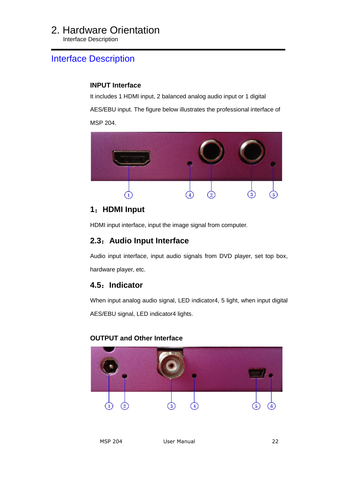<span id="page-21-0"></span>Interface Description

#### <span id="page-21-6"></span><span id="page-21-1"></span>[Interface Description](#page-20-2)

#### **INPUT Interface**

It includes 1 HDMI input, 2 balanced analog audio input or 1 digital

AES/EBU input. The figure below illustrates the professional interface of MSP 204.



#### <span id="page-21-2"></span>**1**:**HDMI Input**

HDMI input interface, input the image signal from computer.

#### <span id="page-21-3"></span>**2.3**:**Audio Input Interface**

Audio input interface, input audio signals from DVD player, set top box, hardware player, etc.

#### <span id="page-21-4"></span>**4.5**:**Indicator**

When input analog audio signal, LED indicator4, 5 light, when input digital AES/EBU signal, LED indicator4 lights.

#### **OUTPUT and Other Interface**

<span id="page-21-5"></span>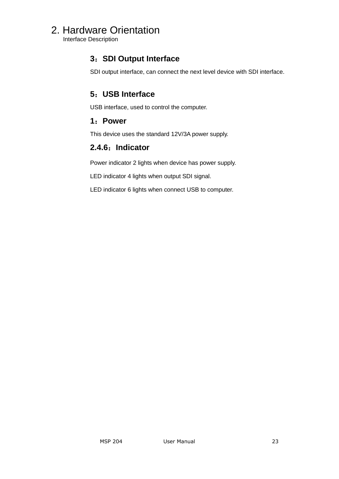<span id="page-22-0"></span>Interface Description

#### **3**:**SDI Output Interface**

SDI output interface, can connect the next level device with SDI interface.

#### <span id="page-22-1"></span>**5**:**USB Interface**

USB interface, used to control the computer.

#### <span id="page-22-2"></span>**1**:**Power**

This device uses the standard 12V/3A power supply.

#### <span id="page-22-3"></span>**2.4.6**:**Indicator**

Power indicator 2 lights when device has power supply.

LED indicator 4 lights when output SDI signal.

LED indicator 6 lights when connect USB to computer.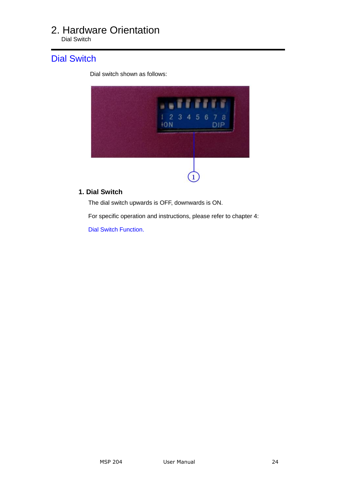<span id="page-23-0"></span>Dial Switch

#### <span id="page-23-2"></span>[Dial Switch](#page-20-3)

Dial switch shown as follows:



#### <span id="page-23-1"></span> **1. Dial Switch**

The dial switch upwards is OFF, downwards is ON.

For specific operation and instructions, please refer to chapter 4:

[Dial Switch Function.](#page-25-0)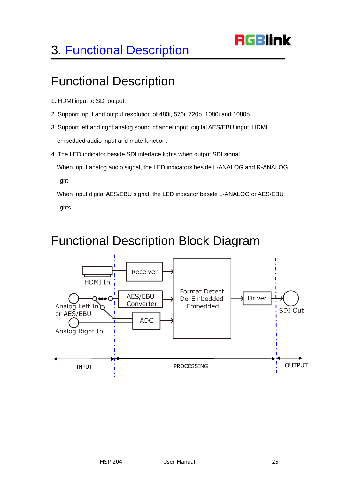## **RGBlink**

## <span id="page-24-0"></span>3. [Functional Description](#page-10-3)

## <span id="page-24-1"></span>Functional Description

- 1. HDMI input to SDI output.
- 2. Support input and output resolution of 480i, 576i, 720p, 1080i and 1080p.
- 3. Support left and right analog sound channel input, digital AES/EBU input, HDMI embedded audio input and mute function.
- 4. The LED indicator beside SDI interface lights when output SDI signal.

 When input analog audio signal, the LED indicators beside L-ANALOG and R-ANALOG light.

 When input digital AES/EBU signal, the LED indicator beside L-ANALOG or AES/EBU lights.

## <span id="page-24-2"></span>Functional Description Block Diagram

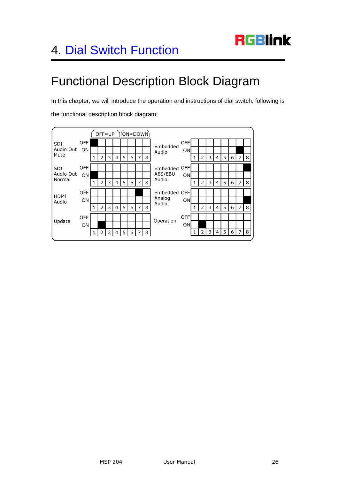

## <span id="page-25-1"></span><span id="page-25-0"></span>Functional Description Block Diagram

In this chapter, we will introduce the operation and instructions of dial switch, following is

 $OFF = UP$  $(ON=DOWN)$ OFF OFF SDI Embedded Audio Out ON ON Audio Mute  $\overline{4}$  $6 \mid 7 \mid 8$  $\mathbf 1$  $\overline{2}$  $\overline{\mathbf{3}}$ 5  $\mathbf 1$  $2$  $\mathsf{3}$  $\overline{4}$  $5<sup>1</sup>$  $6 \mid 7$ 8 OFF Embedded OFF SDI Audio Out AES/EBU ON ON Audio Normal  $\overline{2}$  $\mathsf{3}$  $\overline{4}$ 5  $\sqrt{6}$  $7$ 8  $\overline{2}$  $\mathsf{3}$  $\overline{4}$ 5  $\sqrt{6}$ 8  $\mathbf{1}$  $\mathbf 1$ 7 OFF Embedded OFF HDMI Analog ON ON Audio Audio  $\mathsf{3}$ 5  $7$ 3  $\overline{4}$ 5  $\mathbf 1$  $\overline{2}$  $\overline{4}$ 6 8  $\mathbf 1$  $\mathbf{2}$ 6  $\overline{7}$ 8 OFF OFF Operation Update ON ON  $1 \mid 2 \mid 3$  $\overline{4}$ 5 8  $\mathbf{1}$  $\overline{2}$  $\mathsf{3}$  $\vert 4 \vert$ 5  $\,$  6  $\,$  $7|8$  $\,$  6  $\,$ 7

the functional description block diagram: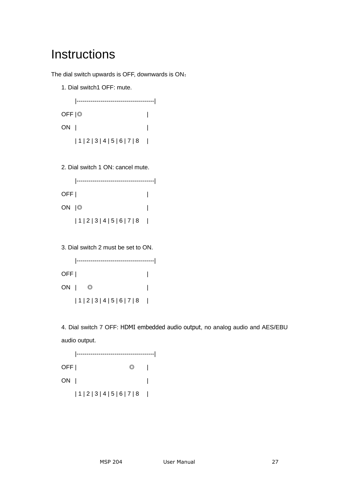## <span id="page-26-0"></span>**Instructions**

The dial switch upwards is OFF, downwards is ON:

1. Dial switch1 OFF: mute.

|---------------------------------------| OFF |◎ | ON | |  $|1|2|3|4|5|6|7|8$  |

2. Dial switch 1 ON: cancel mute.

|---------------------------------------|  $\overline{\text{OFF}}$  | ON |◎ |  $|1|2|3|4|5|6|7|8$ 

3. Dial switch 2 must be set to ON.

|---------------------------------------|  $\overline{\text{OFF}}$  | ON | ◎ | | 1 | 2 | 3 | 4 | 5 | 6 | 7 | 8 |

4. Dial switch 7 OFF: HDMI embedded audio output, no analog audio and AES/EBU audio output.

|---------------------------------------|  $OFF$  |  $\qquad \qquad \odot$  | ON | |  $|1|2|3|4|5|6|7|8$  |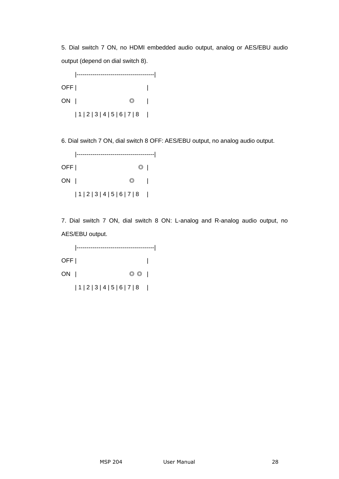5. Dial switch 7 ON, no HDMI embedded audio output, analog or AES/EBU audio output (depend on dial switch 8).

|---------------------------------------|  $OFF$  | ON | ◎ |  $|1|2|3|4|5|6|7|8$  |

6. Dial switch 7 ON, dial switch 8 OFF: AES/EBU output, no analog audio output.

|---------------------------------------|  $\overline{OFF}$  |  $\overline{O}$  | ON | ◎ | | 1 | 2 | 3 | 4 | 5 | 6 | 7 | 8 |

7. Dial switch 7 ON, dial switch 8 ON: L-analog and R-analog audio output, no AES/EBU output.

|---------------------------------------|  $\overline{\text{OFF}}$  | ON | ◎ ◎ | | 1 | 2 | 3 | 4 | 5 | 6 | 7 | 8 |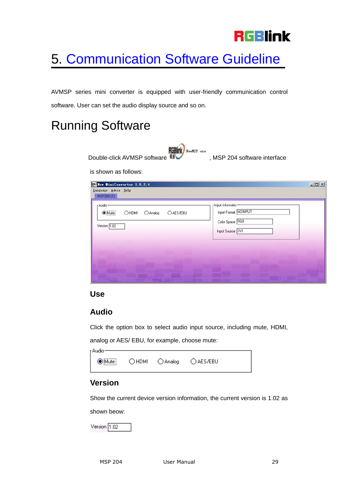## **RGBlink**

## <span id="page-28-0"></span>5. [Communication Software Guideline](#page-10-5)

AVMSP series mini converter is equipped with user-friendly communication control software. User can set the audio display source and so on.

## <span id="page-28-1"></span>Running Software

**RGBINK** NewMSP. exe Double-click AVMSP software **ND** , MSP 204 software interface

#### is shown as follows:

| r Audio-                          |           | r Input Informatio-<br>Input Format NOINPUT |
|-----------------------------------|-----------|---------------------------------------------|
| $\odot$ Mute<br>OHDMI<br>O Analog | O AES/EBU | Color Space RGB                             |
| Version 1.02                      |           | Input Source DVI                            |
|                                   |           |                                             |
|                                   |           |                                             |
|                                   |           |                                             |

#### <span id="page-28-2"></span>**Use**

#### <span id="page-28-3"></span>**Audio**

Click the option box to select audio input source, including mute, HDMI,

analog or AES/ EBU, for example, choose mute:

| -Audio    |               |           |  |
|-----------|---------------|-----------|--|
| ●Mute<br> | ○HDMI ○Analog | ○ AES/EBU |  |

#### <span id="page-28-4"></span>**Version**

Show the current device version information, the current version is 1.02 as

shown beow:

Version  $\boxed{1.02}$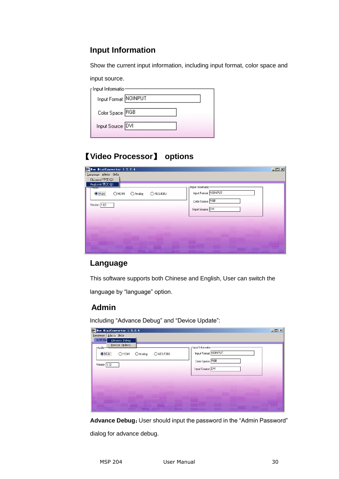#### <span id="page-29-0"></span>**Input Information**

Show the current input information, including input format, color space and

input source.

| <sub>F</sub> Input Informatio <sup>.</sup><br>Input Format NOINPUT |  |
|--------------------------------------------------------------------|--|
| Color Space RGB                                                    |  |
| Input Source DVI                                                   |  |

#### <span id="page-29-1"></span>【**Video Processor**】 **options**

| Her HiniConvertor 1.5.2.4<br>Language Admin Help                        | $  x$ $x$ |
|-------------------------------------------------------------------------|-----------|
| Chinese/中文(C)                                                           |           |
| English/英文(E)<br>r Input Informatio-<br><b>PRODUC</b>                   |           |
| Input Format NOINPUT<br>$\bigcirc$ Mute<br>OHDMI<br>OAES/EBU<br>OAnalog |           |
| Color Space RGB<br>Version 1.02                                         |           |
| Input Source DVI                                                        |           |
|                                                                         |           |
|                                                                         |           |
|                                                                         |           |
|                                                                         |           |

#### <span id="page-29-2"></span>**Language**

This software supports both Chinese and English, User can switch the

language by "language" option.

#### <span id="page-29-3"></span> **Admin**

Including "Advance Debug" and "Device Update":

| Her MiniConvertor 1.5.2.4                                             | $-10x$ |
|-----------------------------------------------------------------------|--------|
| Language Admin Help<br><b>MSP204</b><br>Advance Debug                 |        |
| Device Update<br>r Input Informatio-<br>r Audio-                      |        |
| Input Format NOINPUT<br>$\odot$ Mute<br>OHDMI<br>O AES/EBU<br>OAnalog |        |
| Color Space RGB                                                       |        |
| Version 1.02                                                          |        |
| Input Source DVI                                                      |        |
|                                                                       |        |
|                                                                       |        |
|                                                                       |        |
|                                                                       |        |
|                                                                       |        |
|                                                                       |        |

Advance Debug: User should input the password in the "Admin Password" dialog for advance debug.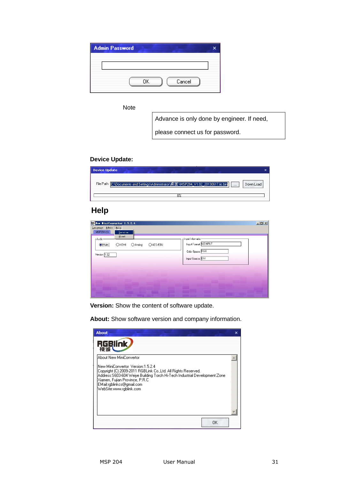| <b>Admin Password</b> |    |        |  |
|-----------------------|----|--------|--|
|                       |    |        |  |
|                       |    |        |  |
|                       | OΚ | Cancel |  |

**Note** 

Advance is only done by engineer. If need,

please connect us for password.

#### **Device Update:**

| <b>Device Update</b>                                                               | x         |
|------------------------------------------------------------------------------------|-----------|
| File Path C:\Documents and Settings\Administrator\桌面\MSP204_V1.02_20130617.iic.bin | Down Load |
| ∩°                                                                                 |           |

#### <span id="page-30-0"></span> **Help**

| Her MiniConvertor 1.5.2.4 |                                                        | $\Box$ |
|---------------------------|--------------------------------------------------------|--------|
| Language Admin Help       |                                                        |        |
| MSP204 (1)                | Version                                                |        |
| r Audio-                  | About<br>r Input Informatio-                           |        |
| $\bigcirc$ Mute           | Input Format NOINPUT<br>OHDMI<br>O AES/EBU<br>O Analog |        |
| Version 1.02              | Color Space RGB                                        |        |
|                           | Input Source DVI                                       |        |
|                           |                                                        |        |
|                           |                                                        |        |
|                           |                                                        |        |
|                           |                                                        |        |

**Version:** Show the content of software update.

About **RGBlink** 视诚人 About New MiniConvertor  $\triangle$ |<br>|New MiniConvertor Version:1.5.2.4<br>|Copyright (C) 2009-2011 RGBLink Co.,Ltd. All Rights Reserved.<br>|Address:S603-604 Weive Building Torch Hi-Tech Industrial Development Zone<br>|Xiamen, Fujian Province, P.R.C<br>|EMail:rgblink. 0K

**About:** Show software version and company information.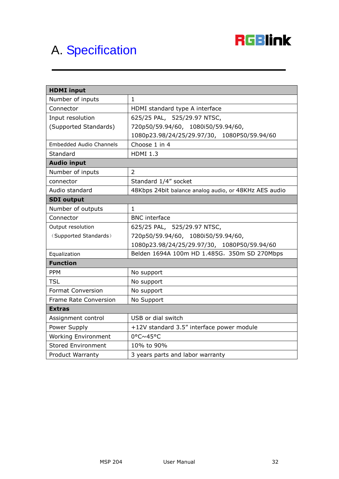

## <span id="page-31-0"></span>A. [Specification](#page-10-6)

| <b>HDMI</b> input              |                                                       |
|--------------------------------|-------------------------------------------------------|
| Number of inputs               | $\mathbf{1}$                                          |
| Connector                      | HDMI standard type A interface                        |
| Input resolution               | 625/25 PAL, 525/29.97 NTSC,                           |
| (Supported Standards)          | 720p50/59.94/60, 1080i50/59.94/60,                    |
|                                | 1080p23.98/24/25/29.97/30, 1080P50/59.94/60           |
| <b>Embedded Audio Channels</b> | Choose 1 in 4                                         |
| Standard                       | <b>HDMI 1.3</b>                                       |
| <b>Audio input</b>             |                                                       |
| Number of inputs               | $\overline{2}$                                        |
| connector                      | Standard 1/4" socket                                  |
| Audio standard                 | 48Kbps 24bit balance analog audio, or 48KHz AES audio |
| <b>SDI</b> output              |                                                       |
| Number of outputs              | $\mathbf{1}$                                          |
| Connector                      | <b>BNC</b> interface                                  |
| Output resolution              | 625/25 PAL, 525/29.97 NTSC,                           |
| (Supported Standards)          | 720p50/59.94/60, 1080i50/59.94/60,                    |
|                                | 1080p23.98/24/25/29.97/30, 1080P50/59.94/60           |
| Equalization                   | Belden 1694A 100m HD 1.485G, 350m SD 270Mbps          |
| <b>Function</b>                |                                                       |
| <b>PPM</b>                     | No support                                            |
| <b>TSL</b>                     | No support                                            |
| <b>Format Conversion</b>       | No support                                            |
| Frame Rate Conversion          | No Support                                            |
| <b>Extras</b>                  |                                                       |
| Assignment control             | USB or dial switch                                    |
| Power Supply                   | +12V standard 3.5" interface power module             |
| <b>Working Environment</b>     | 0°C~45°C                                              |
| <b>Stored Environment</b>      | 10% to 90%                                            |
| <b>Product Warranty</b>        | 3 years parts and labor warranty                      |